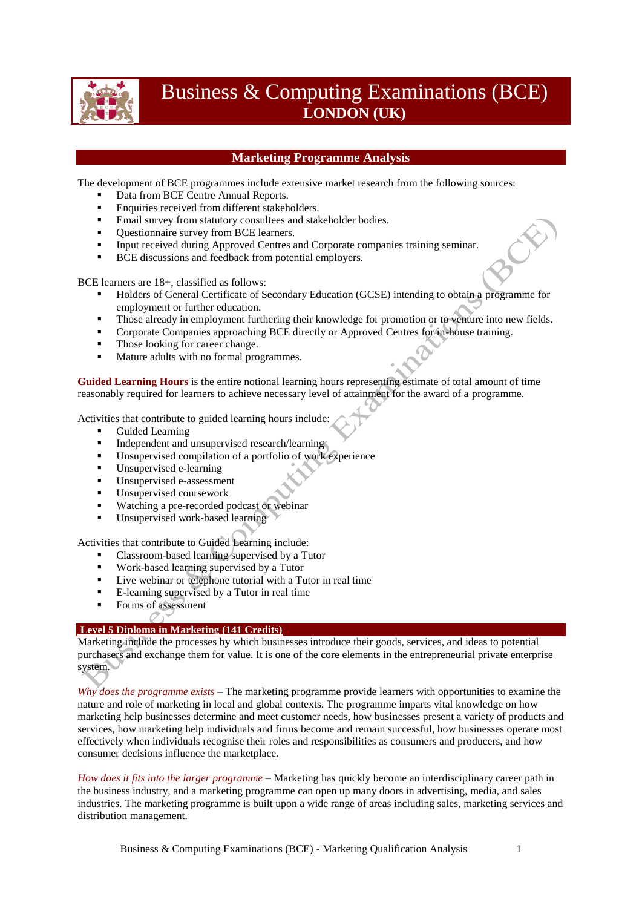

# Business & Computing Examinations (BCE) **LONDON (UK)**

## **Marketing Programme Analysis**

The development of BCE programmes include extensive market research from the following sources:

- Data from BCE Centre Annual Reports.
- **Enquiries received from different stakeholders.**
- Email survey from statutory consultees and stakeholder bodies.
- Ouestionnaire survey from BCE learners.
- Input received during Approved Centres and Corporate companies training seminar.
- BCE discussions and feedback from potential employers.

BCE learners are 18+, classified as follows:

- Holders of General Certificate of Secondary Education (GCSE) intending to obtain a programme for employment or further education.
- Those already in employment furthering their knowledge for promotion or to venture into new fields.
- **Corporate Companies approaching BCE directly or Approved Centres for in-house training.**
- Those looking for career change.
- Mature adults with no formal programmes.

**Guided Learning Hours** is the entire notional learning hours representing estimate of total amount of time reasonably required for learners to achieve necessary level of attainment for the award of a programme.

Activities that contribute to guided learning hours include:

- Guided Learning
- Independent and unsupervised research/learning
- Unsupervised compilation of a portfolio of work experience
- Unsupervised e-learning
- Unsupervised e-assessment
- Unsupervised coursework
- Watching a pre-recorded podcast or webinar
- Unsupervised work-based learning

Activities that contribute to Guided Learning include:

- Classroom-based learning supervised by a Tutor
- Work-based learning supervised by a Tutor
- Live webinar or telephone tutorial with a Tutor in real time
- E-learning supervised by a Tutor in real time
- Forms of assessment

#### O **Level 5 Diploma in Marketing (141 Credits)**

Marketing include the processes by which businesses introduce their goods, services, and ideas to potential purchasers and exchange them for value. It is one of the core elements in the entrepreneurial private enterprise system.

*Why does the programme exists* – The marketing programme provide learners with opportunities to examine the nature and role of marketing in local and global contexts. The programme imparts vital knowledge on how marketing help businesses determine and meet customer needs, how businesses present a variety of products and services, how marketing help individuals and firms become and remain successful, how businesses operate most effectively when individuals recognise their roles and responsibilities as consumers and producers, and how consumer decisions influence the marketplace.

*How does it fits into the larger programme* – Marketing has quickly become an interdisciplinary career path in the business industry, and a marketing programme can open up many doors in advertising, media, and sales industries. The marketing programme is built upon a wide range of areas including sales, marketing services and distribution management.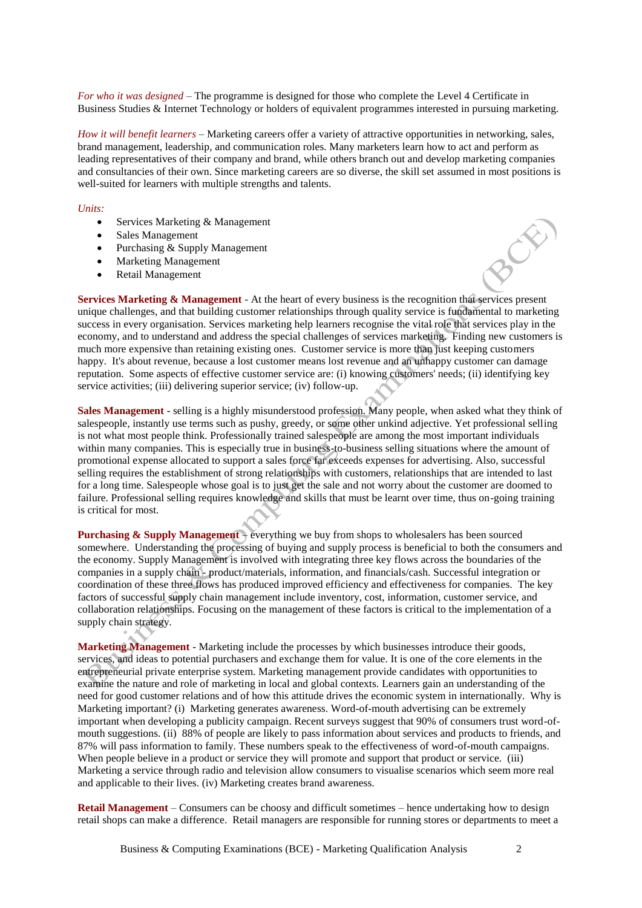*For who it was designed* – The programme is designed for those who complete the Level 4 Certificate in Business Studies & Internet Technology or holders of equivalent programmes interested in pursuing marketing.

*How it will benefit learners* – Marketing careers offer a variety of attractive opportunities in networking, sales, brand management, leadership, and communication roles. Many marketers learn how to act and perform as leading representatives of their company and brand, while others branch out and develop marketing companies and consultancies of their own. Since marketing careers are so diverse, the skill set assumed in most positions is well-suited for learners with multiple strengths and talents.

#### *Units:*

- Services Marketing & Management
- Sales Management
- Purchasing & Supply Management
- Marketing Management
- Retail Management

**Services Marketing & Management** - At the heart of every business is the recognition that services present unique challenges, and that building customer relationships through quality service is fundamental to marketing success in every organisation. Services marketing help learners recognise the vital role that services play in the economy, and to understand and address the special challenges of services marketing. Finding new customers is much more expensive than retaining existing ones. Customer service is more than just keeping customers happy. It's about revenue, because a lost customer means lost revenue and an unhappy customer can damage reputation. Some aspects of effective customer service are: (i) knowing customers' needs; (ii) identifying key service activities; (iii) delivering superior service; (iv) follow-up.

**Sales Management** - selling is a highly misunderstood profession. Many people, when asked what they think of salespeople, instantly use terms such as pushy, greedy, or some other unkind adjective. Yet professional selling is not what most people think. Professionally trained salespeople are among the most important individuals within many companies. This is especially true in business-to-business selling situations where the amount of promotional expense allocated to support a sales force far exceeds expenses for advertising. Also, successful selling requires the establishment of strong relationships with customers, relationships that are intended to last for a long time. Salespeople whose goal is to just get the sale and not worry about the customer are doomed to failure. Professional selling requires knowledge and skills that must be learnt over time, thus on-going training is critical for most.

**Purchasing & Supply Management** – everything we buy from shops to wholesalers has been sourced somewhere. Understanding the processing of buying and supply process is beneficial to both the consumers and the economy. Supply Management is involved with integrating three key flows across the boundaries of the companies in a supply chain - product/materials, information, and financials/cash. Successful integration or coordination of these three flows has produced improved efficiency and effectiveness for companies. The key factors of successful supply chain management include inventory, cost, information, customer service, and collaboration relationships. Focusing on the management of these factors is critical to the implementation of a supply chain strategy.

**Marketing Management** - Marketing include the processes by which businesses introduce their goods, services, and ideas to potential purchasers and exchange them for value. It is one of the core elements in the entrepreneurial private enterprise system. Marketing management provide candidates with opportunities to examine the nature and role of marketing in local and global contexts. Learners gain an understanding of the need for good customer relations and of how this attitude drives the economic system in internationally. Why is Marketing important? (i) Marketing generates awareness. Word-of-mouth advertising can be extremely important when developing a publicity campaign. Recent surveys suggest that 90% of consumers trust word-ofmouth suggestions. (ii) 88% of people are likely to pass information about services and products to friends, and 87% will pass information to family. These numbers speak to the effectiveness of word-of-mouth campaigns. When people believe in a product or service they will promote and support that product or service. (iii) Marketing a service through radio and television allow consumers to visualise scenarios which seem more real and applicable to their lives. (iv) Marketing creates brand awareness.

**Retail Management** – Consumers can be choosy and difficult sometimes – hence undertaking how to design retail shops can make a difference. Retail managers are responsible for running stores or departments to meet a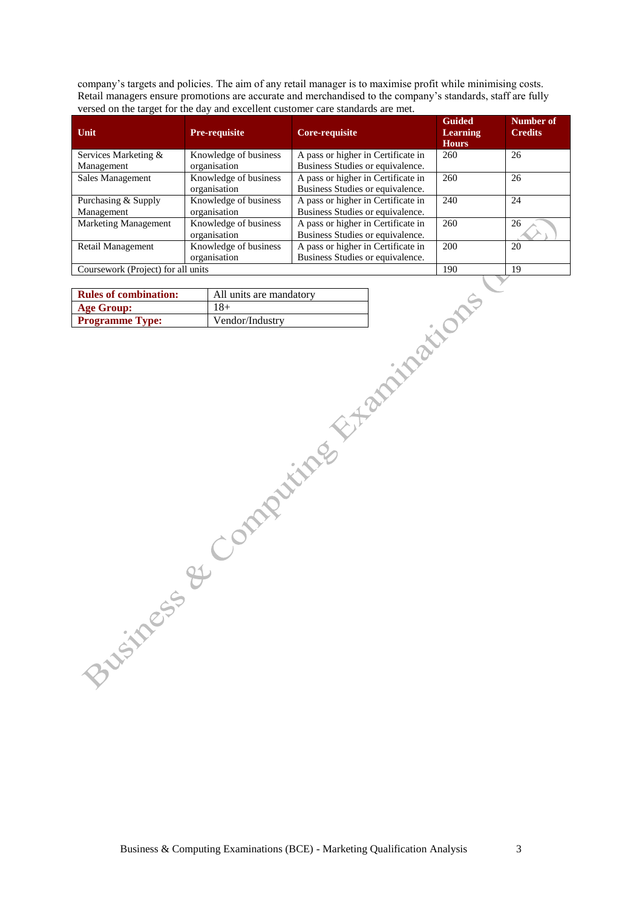company's targets and policies. The aim of any retail manager is to maximise profit while minimising costs. Retail managers ensure promotions are accurate and merchandised to the company's standards, staff are fully versed on the target for the day and excellent customer care standards are met.

| <b>Unit</b>                        | <b>Pre-requisite</b>                  | Core-requisite                                                         | <b>Guided</b><br><b>Learning</b><br><b>Hours</b> | Number of<br><b>Credits</b> |
|------------------------------------|---------------------------------------|------------------------------------------------------------------------|--------------------------------------------------|-----------------------------|
| Services Marketing &               | Knowledge of business                 | A pass or higher in Certificate in                                     | 260                                              | 26                          |
| Management                         | organisation                          | Business Studies or equivalence.                                       |                                                  |                             |
| Sales Management                   | Knowledge of business<br>organisation | A pass or higher in Certificate in<br>Business Studies or equivalence. | 260                                              | 26                          |
| Purchasing & Supply<br>Management  | Knowledge of business<br>organisation | A pass or higher in Certificate in<br>Business Studies or equivalence. | 240                                              | 24                          |
| <b>Marketing Management</b>        | Knowledge of business<br>organisation | A pass or higher in Certificate in<br>Business Studies or equivalence. | 260                                              | 26                          |
| Retail Management                  | Knowledge of business<br>organisation | A pass or higher in Certificate in<br>Business Studies or equivalence. | 200                                              | 20                          |
| Coursework (Project) for all units |                                       |                                                                        | 190                                              | 19                          |

| <b>Rules of combination:</b> | All units are mandatory |
|------------------------------|-------------------------|
| <b>Age Group:</b>            | $18+$                   |
| <b>Programme Type:</b>       | Vendor/Industry         |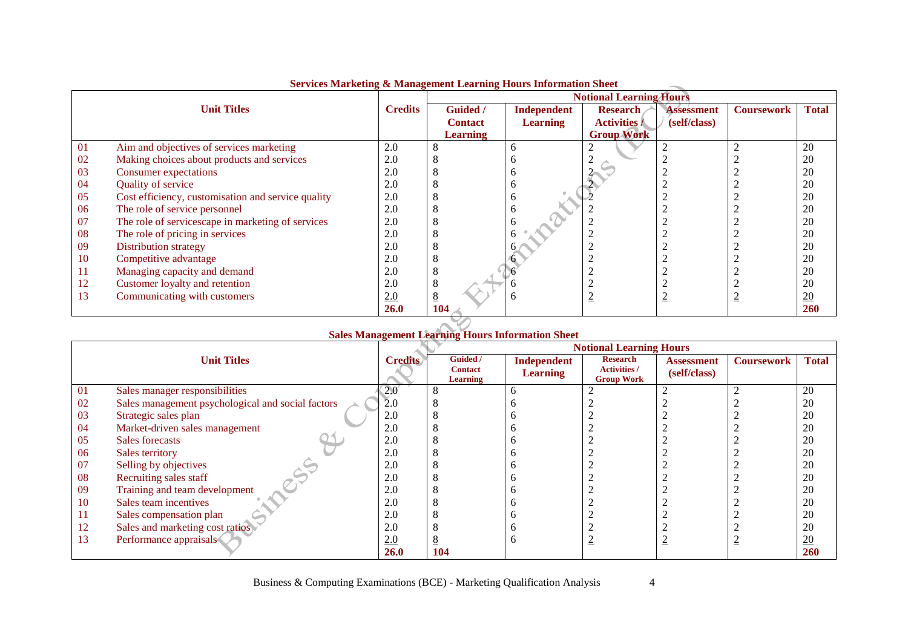|    | ou vices maintening ex-mainigenient meaning mours mitor matron |                |                 | <b>Notional Learning Hours</b> |                          |                   |                          |              |
|----|----------------------------------------------------------------|----------------|-----------------|--------------------------------|--------------------------|-------------------|--------------------------|--------------|
|    | <b>Unit Titles</b>                                             | <b>Credits</b> | <b>Guided</b> / | Independent                    | <b>Research</b>          | <b>Assessment</b> | <b>Coursework</b>        | <b>Total</b> |
|    |                                                                |                | <b>Contact</b>  | <b>Learning</b>                | <b>Activities /</b>      | (self/class)      |                          |              |
|    |                                                                |                | <b>Learning</b> |                                | <b>Group Work</b>        |                   |                          |              |
| 01 | Aim and objectives of services marketing                       | 2.0            |                 | <sub>0</sub>                   |                          |                   |                          | 20           |
| 02 | Making choices about products and services                     | 2.0            |                 |                                |                          |                   |                          | 20           |
| 03 | Consumer expectations                                          | 2.0            |                 | n                              |                          |                   |                          | 20           |
| 04 | Quality of service                                             | 2.0            |                 | <sub>0</sub>                   |                          |                   |                          | 20           |
| 05 | Cost efficiency, customisation and service quality             | 2.0            |                 | <sub>0</sub>                   |                          |                   |                          | 20           |
| 06 | The role of service personnel                                  | 2.0            |                 |                                |                          |                   |                          | 20           |
| 07 | The role of servicescape in marketing of services              | 2.0            | O               |                                |                          |                   |                          | 20           |
| 08 | The role of pricing in services                                | 2.0            |                 |                                |                          |                   |                          | 20           |
| 09 | <b>Distribution strategy</b>                                   | 2.0            |                 |                                |                          |                   |                          | 20           |
| 10 | Competitive advantage                                          | 2.0            | 8               |                                |                          |                   |                          | 20           |
| 11 | Managing capacity and demand                                   | 2.0            | 8               |                                |                          |                   |                          | 20           |
| 12 | Customer loyalty and retention                                 | 2.0            | 8               |                                |                          |                   |                          | 20           |
| 13 | Communicating with customers                                   | 2.0            | 8               | h                              | $\overline{\phantom{a}}$ |                   | $\overline{\phantom{a}}$ | 20           |
|    |                                                                | <b>26.0</b>    | 104             |                                |                          |                   |                          | <b>260</b>   |

### **Services Marketing & Management Learning Hours Information Sheet**

# **Sales Management Learning Hours Information Sheet Notional Learning Hours**

|    |                                                   |                | NOUOIRH Leafhing Hours     |                                |                                        |                                   |                   |                  |
|----|---------------------------------------------------|----------------|----------------------------|--------------------------------|----------------------------------------|-----------------------------------|-------------------|------------------|
|    | <b>Unit Titles</b>                                | <b>Credits</b> | Guided /<br><b>Contact</b> | Independent<br><b>Learning</b> | <b>Research</b><br><b>Activities /</b> | <b>Assessment</b><br>(self/class) | <b>Coursework</b> | <b>Total</b>     |
|    |                                                   |                | <b>Learning</b>            |                                | <b>Group Work</b>                      |                                   |                   |                  |
| 01 | Sales manager responsibilities                    | 2.0            |                            |                                |                                        |                                   |                   | 20               |
| 02 | Sales management psychological and social factors | 2.0            |                            |                                |                                        |                                   |                   | 20               |
| 03 | Strategic sales plan                              | 2.0            |                            |                                |                                        |                                   |                   | 20               |
| 04 | Market-driven sales management                    | 2.0            |                            |                                |                                        |                                   |                   | 20               |
| 05 | Sales forecasts                                   | 2.0            |                            |                                |                                        |                                   |                   | 20               |
| 06 | Sales territory                                   | 2.0            |                            |                                |                                        |                                   |                   | 20               |
| 07 | Selling by objectives                             | 2.0            |                            |                                |                                        |                                   |                   | 20               |
| 08 | Recruiting sales staff                            | 2.0            |                            |                                |                                        |                                   |                   | 20               |
| 09 | Training and team development                     | 2.0            |                            |                                |                                        |                                   |                   | 20               |
| 10 | Sales team incentives                             | 2.0            |                            |                                |                                        |                                   |                   | 20               |
|    | Sales compensation plan                           | 2.0            |                            |                                |                                        |                                   |                   | 20               |
| 12 | Sales and marketing cost ratios                   | 2.0            |                            |                                |                                        |                                   |                   | 20               |
| 13 | Performance appraisals                            | 2.0            |                            |                                |                                        |                                   | ⋍                 | $\underline{20}$ |
|    |                                                   | <b>26.0</b>    | 104                        |                                |                                        |                                   |                   | 260              |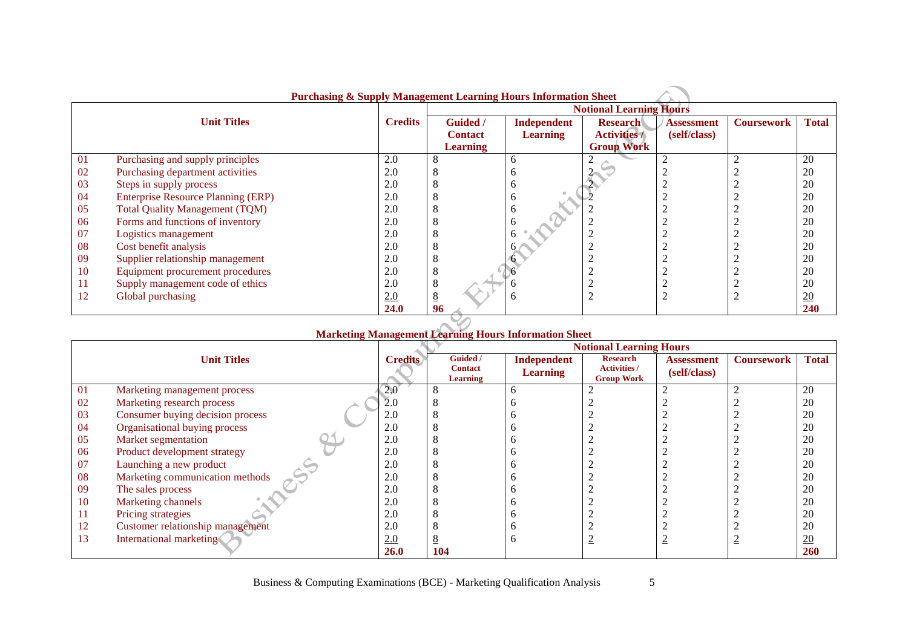|    | <b>Purchasing &amp; Supply Management Learning Hours Information Sheet</b> |                |                                |                 |                     |                   |                   |              |  |  |
|----|----------------------------------------------------------------------------|----------------|--------------------------------|-----------------|---------------------|-------------------|-------------------|--------------|--|--|
|    |                                                                            |                | <b>Notional Learning Hours</b> |                 |                     |                   |                   |              |  |  |
|    | <b>Unit Titles</b>                                                         | <b>Credits</b> | <b>Guided</b> /                | Independent     | <b>Research</b>     | <b>Assessment</b> | <b>Coursework</b> | <b>Total</b> |  |  |
|    |                                                                            |                | <b>Contact</b>                 | <b>Learning</b> | <b>Activities /</b> | (self/class)      |                   |              |  |  |
|    |                                                                            |                | <b>Learning</b>                |                 | <b>Group Work</b>   |                   |                   |              |  |  |
| 01 | Purchasing and supply principles                                           | 2.0            | 8                              | <sub>0</sub>    |                     |                   |                   | 20           |  |  |
| 02 | Purchasing department activities                                           | 2.0            | C                              |                 |                     |                   |                   | 20           |  |  |
| 03 | Steps in supply process                                                    | 2.0            | 8                              |                 |                     |                   |                   | 20           |  |  |
| 04 | <b>Enterprise Resource Planning (ERP)</b>                                  | 2.0            | 8                              | n               |                     |                   |                   | 20           |  |  |
| 05 | <b>Total Quality Management (TQM)</b>                                      | 2.0            | 8                              |                 |                     |                   |                   | 20           |  |  |
| 06 | Forms and functions of inventory                                           | 2.0            | ð                              |                 |                     |                   |                   | 20           |  |  |
| 07 | Logistics management                                                       | 2.0            | Õ                              |                 |                     |                   |                   | 20           |  |  |
| 08 | Cost benefit analysis                                                      | 2.0            | Õ                              |                 |                     |                   |                   | 20           |  |  |
| 09 | Supplier relationship management                                           | 2.0            | 8                              |                 | ◠                   |                   |                   | 20           |  |  |
| 10 | Equipment procurement procedures                                           | 2.0            | 8                              |                 |                     |                   |                   | 20           |  |  |
| 11 | Supply management code of ethics                                           | 2.0            | 8                              |                 |                     |                   |                   | 20           |  |  |
| 12 | Global purchasing                                                          | 2.0            | $8\phantom{.}$                 |                 | $\overline{2}$      |                   |                   | 20           |  |  |
|    |                                                                            | 24.0           | 96                             |                 |                     |                   |                   | 240          |  |  |
|    |                                                                            |                |                                |                 |                     |                   |                   |              |  |  |

|  | <b>Marketing Management Learning Hours Information Sheet</b> |  |  |
|--|--------------------------------------------------------------|--|--|
|  |                                                              |  |  |

|    |                                  |                |                                        |                                | <b>Notional Learning Hours</b>                              |                                   |                   |                  |
|----|----------------------------------|----------------|----------------------------------------|--------------------------------|-------------------------------------------------------------|-----------------------------------|-------------------|------------------|
|    | <b>Unit Titles</b>               | <b>Credits</b> | Guided /<br><b>Contact</b><br>Learning | Independent<br><b>Learning</b> | <b>Research</b><br><b>Activities /</b><br><b>Group Work</b> | <b>Assessment</b><br>(self/class) | <b>Coursework</b> | <b>Total</b>     |
| 01 | Marketing management process     | 2.0            |                                        |                                |                                                             |                                   |                   | 20               |
| 02 | Marketing research process       | 2.0            |                                        |                                |                                                             |                                   |                   | 20               |
| 03 | Consumer buying decision process | 2.0            |                                        |                                |                                                             |                                   |                   | 20               |
| 04 | Organisational buying process    | 2.0            |                                        |                                |                                                             |                                   |                   | 20               |
| 05 | Market segmentation              | 2.0            |                                        |                                |                                                             |                                   |                   | 20               |
| 06 | Product development strategy     | 2.0            |                                        |                                |                                                             |                                   |                   | 20               |
| 07 | Launching a new product          | 2.0            |                                        |                                |                                                             |                                   |                   | 20               |
| 08 | Marketing communication methods  | 2.0            |                                        |                                |                                                             |                                   |                   | 20               |
| 09 | The sales process                | 2.0            |                                        |                                |                                                             |                                   |                   | 20               |
| 10 | Marketing channels               | 2.0            |                                        |                                |                                                             |                                   |                   | 20               |
| П  | Pricing strategies               | 2.0            |                                        |                                |                                                             |                                   |                   | 20               |
| 12 | Customer relationship management | 2.0            |                                        |                                |                                                             |                                   |                   | 20               |
| 13 | International marketing          | 2.0            |                                        |                                |                                                             |                                   |                   | $\underline{20}$ |
|    |                                  | <b>26.0</b>    | 104                                    |                                |                                                             |                                   |                   | 260              |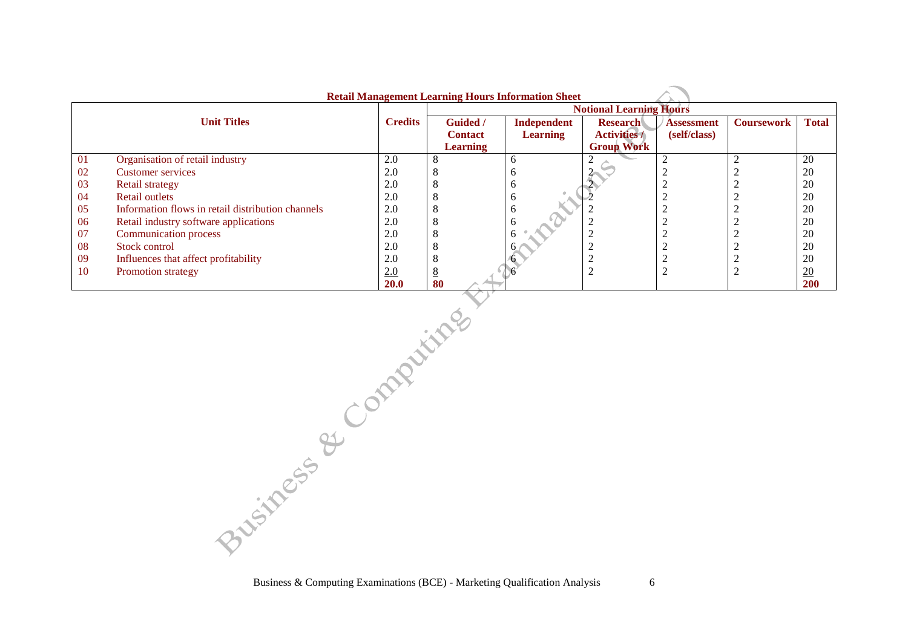|    | <b>Retail Management Learning Hours Information Sheet</b> |                |                 |                 |                                |                   |                   |                  |  |  |  |
|----|-----------------------------------------------------------|----------------|-----------------|-----------------|--------------------------------|-------------------|-------------------|------------------|--|--|--|
|    |                                                           |                |                 |                 | <b>Notional Learning Hours</b> |                   |                   |                  |  |  |  |
|    | <b>Unit Titles</b>                                        | <b>Credits</b> | <b>Guided</b> / | Independent     | <b>Research</b>                | <b>Assessment</b> | <b>Coursework</b> | <b>Total</b>     |  |  |  |
|    |                                                           |                | <b>Contact</b>  | <b>Learning</b> | <b>Activities /</b>            | (self/class)      |                   |                  |  |  |  |
|    |                                                           |                | <b>Learning</b> |                 | <b>Group Work</b>              |                   |                   |                  |  |  |  |
| 01 | Organisation of retail industry                           | 2.0            | 8               |                 |                                |                   |                   | 20               |  |  |  |
| 02 | <b>Customer services</b>                                  | 2.0            | 8               |                 |                                |                   |                   | 20               |  |  |  |
| 03 | <b>Retail strategy</b>                                    | 2.0            | 8               | n               |                                |                   |                   | 20               |  |  |  |
| 04 | <b>Retail outlets</b>                                     | 2.0            | 8               |                 |                                |                   |                   | 20               |  |  |  |
| 05 | Information flows in retail distribution channels         | 2.0            | 8               | o               |                                |                   |                   | 20               |  |  |  |
| 06 | Retail industry software applications                     | 2.0            | 8               |                 |                                |                   |                   | 20               |  |  |  |
| 07 | Communication process                                     | 2.0            | 8               |                 |                                |                   |                   | 20               |  |  |  |
| 08 | Stock control                                             | 2.0            | 8               |                 |                                |                   |                   | 20               |  |  |  |
| 09 | Influences that affect profitability                      | 2.0            | 8               |                 |                                |                   |                   | 20               |  |  |  |
| 10 | Promotion strategy                                        | 2.0            | 8               |                 |                                |                   |                   | $\underline{20}$ |  |  |  |
|    |                                                           | <b>20.0</b>    | 80              |                 |                                |                   |                   | <b>200</b>       |  |  |  |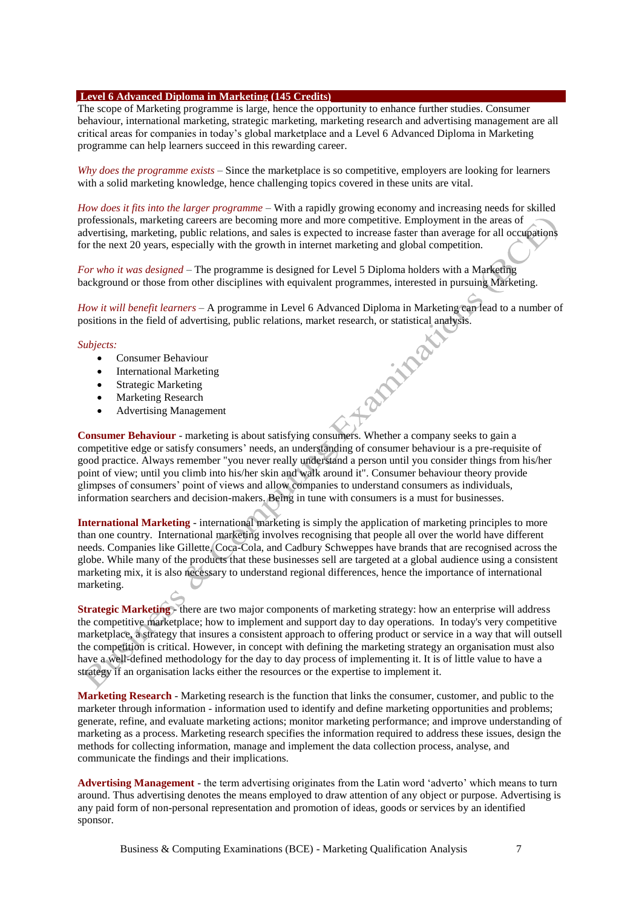#### **Level 6 Advanced Diploma in Marketing (145 Credits)**

The scope of Marketing programme is large, hence the opportunity to enhance further studies. Consumer behaviour, international marketing, strategic marketing, marketing research and advertising management are all critical areas for companies in today's global marketplace and a Level 6 Advanced Diploma in Marketing programme can help learners succeed in this rewarding career.

*Why does the programme exists* – Since the marketplace is so competitive, employers are looking for learners with a solid marketing knowledge, hence challenging topics covered in these units are vital.

*How does it fits into the larger programme* – With a rapidly growing economy and increasing needs for skilled professionals, marketing careers are becoming more and more competitive. Employment in the areas of advertising, marketing, public relations, and sales is expected to increase faster than average for all occupations for the next 20 years, especially with the growth in internet marketing and global competition.

*For who it was designed* – The programme is designed for Level 5 Diploma holders with a Marketing background or those from other disciplines with equivalent programmes, interested in pursuing Marketing.

*How it will benefit learners* – A programme in Level 6 Advanced Diploma in Marketing can lead to a number of positions in the field of advertising, public relations, market research, or statistical analysis.

Eastlynam

#### *Subjects:*

- Consumer Behaviour
- International Marketing
- Strategic Marketing
- Marketing Research
- Advertising Management

**Consumer Behaviour** - marketing is about satisfying consumers. Whether a company seeks to gain a competitive edge or satisfy consumers' needs, an understanding of consumer behaviour is a pre-requisite of good practice. Always remember "you never really understand a person until you consider things from his/her point of view; until you climb into his/her skin and walk around it". Consumer behaviour theory provide glimpses of consumers' point of views and allow companies to understand consumers as individuals, information searchers and decision-makers. Being in tune with consumers is a must for businesses.

**International Marketing** - international marketing is simply the application of marketing principles to more than one country. International marketing involves recognising that people all over the world have different needs. Companies like Gillette, Coca-Cola, and Cadbury Schweppes have brands that are recognised across the globe. While many of the products that these businesses sell are targeted at a global audience using a consistent marketing mix, it is also necessary to understand regional differences, hence the importance of international marketing.

**Strategic Marketing** - there are two major components of marketing strategy: how an enterprise will address the competitive marketplace; how to implement and support day to day operations. In today's very competitive marketplace, a strategy that insures a consistent approach to offering product or service in a way that will outsell the competition is critical. However, in concept with defining the marketing strategy an organisation must also have a well-defined methodology for the day to day process of implementing it. It is of little value to have a strategy if an organisation lacks either the resources or the expertise to implement it.

**Marketing Research** - Marketing research is the function that links the consumer, customer, and public to the marketer through information - information used to identify and define marketing opportunities and problems; generate, refine, and evaluate marketing actions; monitor marketing performance; and improve understanding of marketing as a process. Marketing research specifies the information required to address these issues, design the methods for collecting information, manage and implement the data collection process, analyse, and communicate the findings and their implications.

**Advertising Management** - the term advertising originates from the Latin word 'adverto' which means to turn around. Thus advertising denotes the means employed to draw attention of any object or purpose. Advertising is any paid form of non-personal representation and promotion of ideas, goods or services by an identified sponsor.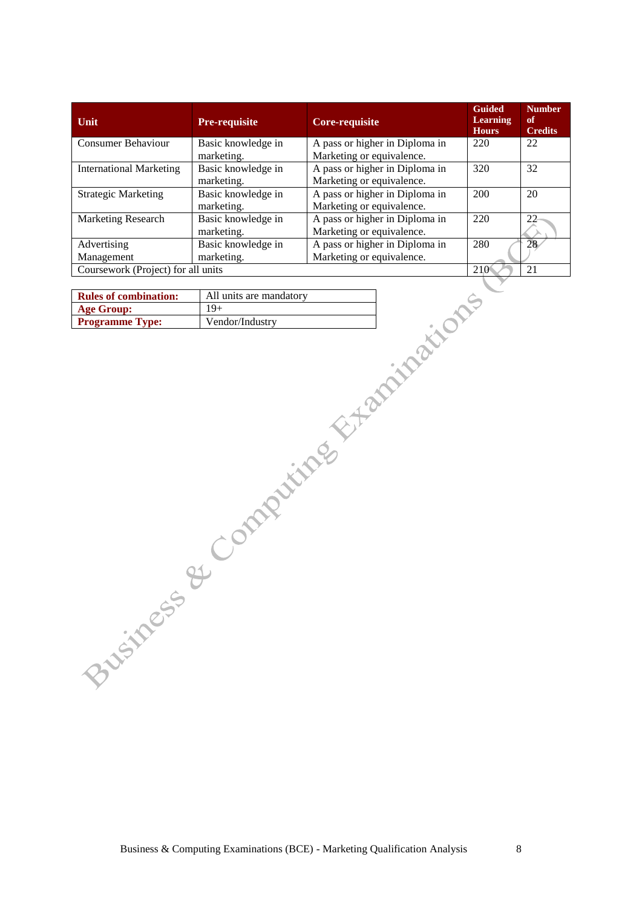| Unit                               | <b>Pre-requisite</b> | Core-requisite                 | <b>Guided</b><br><b>Learning</b><br><b>Hours</b> | <b>Number</b><br>of<br><b>Credits</b> |
|------------------------------------|----------------------|--------------------------------|--------------------------------------------------|---------------------------------------|
| <b>Consumer Behaviour</b>          | Basic knowledge in   | A pass or higher in Diploma in | 220                                              | 22                                    |
|                                    | marketing.           | Marketing or equivalence.      |                                                  |                                       |
| <b>International Marketing</b>     | Basic knowledge in   | A pass or higher in Diploma in | 320                                              | 32                                    |
|                                    | marketing.           | Marketing or equivalence.      |                                                  |                                       |
| <b>Strategic Marketing</b>         | Basic knowledge in   | A pass or higher in Diploma in | 200                                              | 20                                    |
|                                    | marketing.           | Marketing or equivalence.      |                                                  |                                       |
| <b>Marketing Research</b>          | Basic knowledge in   | A pass or higher in Diploma in | 220                                              | 22                                    |
|                                    | marketing.           | Marketing or equivalence.      |                                                  |                                       |
| Advertising                        | Basic knowledge in   | A pass or higher in Diploma in | 280                                              | 28                                    |
| Management                         | marketing.           | Marketing or equivalence.      |                                                  |                                       |
| Coursework (Project) for all units |                      |                                | 210                                              | 21                                    |

| <b>Rules of combination:</b> | All units are mandatory |
|------------------------------|-------------------------|
| <b>Age Group:</b>            | 19+                     |
| <b>Programme Type:</b>       | Vendor/Industry         |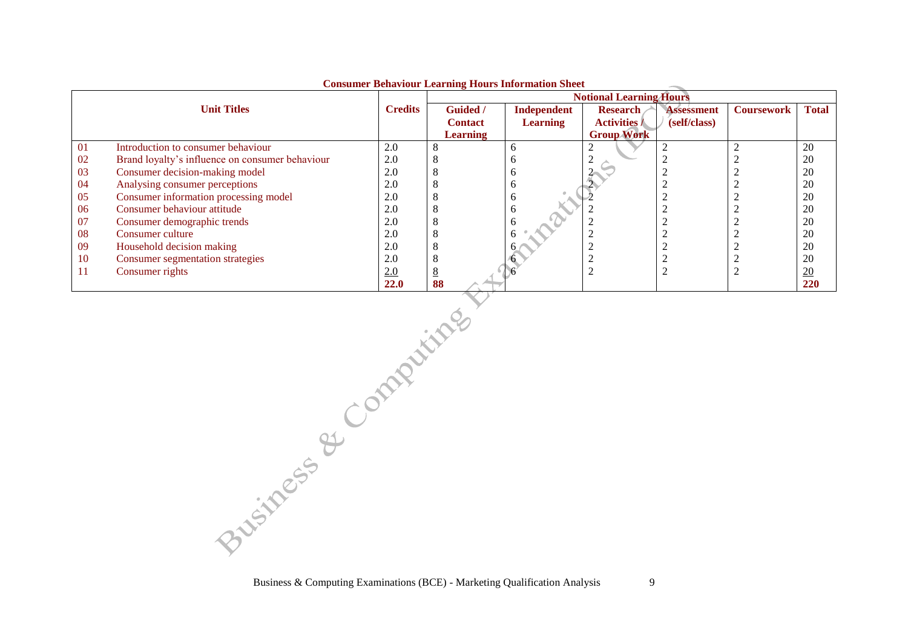|    |                                                 |                |                 | consumer being from bearining from simol mation sheet | <b>Notional Learning Hours</b> |                   |                   |                  |
|----|-------------------------------------------------|----------------|-----------------|-------------------------------------------------------|--------------------------------|-------------------|-------------------|------------------|
|    | <b>Unit Titles</b>                              | <b>Credits</b> | <b>Guided</b> / | Independent                                           | <b>Research</b>                | <b>Assessment</b> | <b>Coursework</b> | <b>Total</b>     |
|    |                                                 |                | <b>Contact</b>  | <b>Learning</b>                                       | <b>Activities /</b>            | (self/class)      |                   |                  |
|    |                                                 |                | <b>Learning</b> |                                                       | <b>Group Work</b>              |                   |                   |                  |
| 01 | Introduction to consumer behaviour              | 2.0            | 8               |                                                       |                                |                   |                   | 20               |
| 02 | Brand loyalty's influence on consumer behaviour | 2.0            | O               |                                                       |                                |                   |                   | 20               |
| 03 | Consumer decision-making model                  | 2.0            | 8               |                                                       |                                |                   |                   | 20               |
| 04 | Analysing consumer perceptions                  | 2.0            | ð               |                                                       |                                |                   |                   | 20               |
| 05 | Consumer information processing model           | 2.0            | 8               |                                                       |                                |                   |                   | 20               |
| 06 | Consumer behaviour attitude                     | 2.0            | 8               |                                                       |                                |                   |                   | 20               |
| 07 | Consumer demographic trends                     | 2.0            | 8               |                                                       |                                |                   |                   | 20               |
| 08 | Consumer culture                                | 2.0            | $\Delta$        |                                                       |                                |                   |                   | 20               |
| 09 | Household decision making                       | 2.0            | 8               |                                                       |                                |                   |                   | 20               |
| 10 | Consumer segmentation strategies                | 2.0            | 8               |                                                       |                                |                   |                   | 20               |
|    | Consumer rights                                 | 2.0            | 8               |                                                       |                                |                   |                   | $\underline{20}$ |
|    |                                                 | <b>22.0</b>    | 88              |                                                       |                                |                   |                   | 220              |

#### **Consumer Behaviour Learning Hours Information Sheet**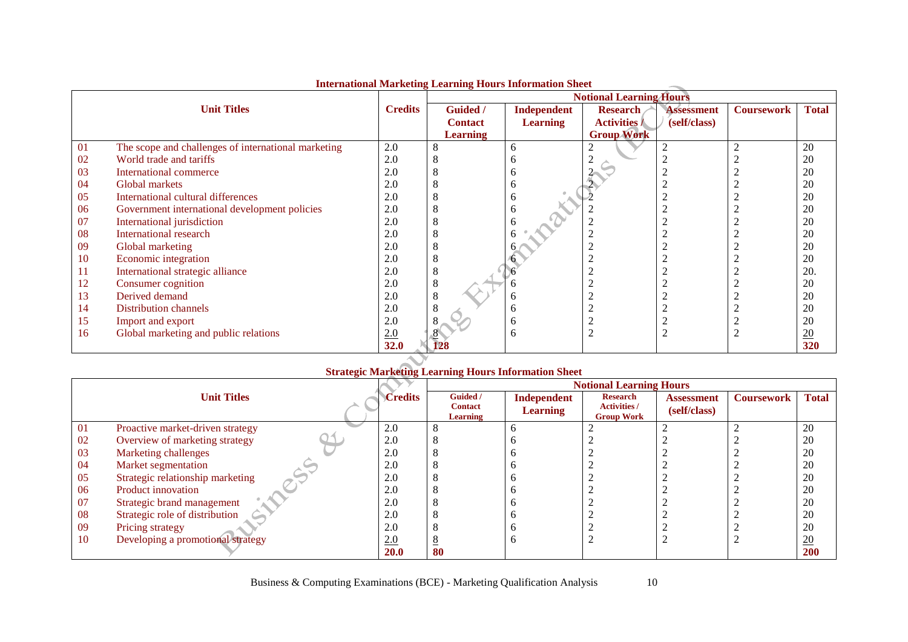|    |                                                     |                |                 |                    | <b>Notional Learning Hours</b> |                   |                   |              |
|----|-----------------------------------------------------|----------------|-----------------|--------------------|--------------------------------|-------------------|-------------------|--------------|
|    | <b>Unit Titles</b>                                  | <b>Credits</b> | <b>Guided</b> / | <b>Independent</b> | <b>Research</b>                | <b>Assessment</b> | <b>Coursework</b> | <b>Total</b> |
|    |                                                     |                | <b>Contact</b>  | <b>Learning</b>    | <b>Activities /</b>            | (self/class)      |                   |              |
|    |                                                     |                | <b>Learning</b> |                    | <b>Group Work</b>              |                   |                   |              |
| 01 | The scope and challenges of international marketing | 2.0            |                 | 6                  | ◠                              | ∠                 |                   | 20           |
| 02 | World trade and tariffs                             | 2.0            |                 |                    |                                |                   |                   | 20           |
| 03 | International commerce                              | 2.0            |                 |                    |                                |                   |                   | 20           |
| 04 | Global markets                                      | 2.0            |                 |                    |                                |                   |                   | 20           |
| 05 | International cultural differences                  | 2.0            |                 | 6                  |                                |                   |                   | 20           |
| 06 | Government international development policies       | 2.0            |                 | h                  |                                |                   |                   | 20           |
| 07 | International jurisdiction                          | 2.0            |                 |                    |                                |                   |                   | 20           |
| 08 | International research                              | 2.0            |                 |                    |                                |                   |                   | 20           |
| 09 | Global marketing                                    | 2.0            |                 |                    |                                |                   |                   | 20           |
| 10 | Economic integration                                | 2.0            |                 |                    |                                |                   |                   | 20           |
| 11 | International strategic alliance                    | 2.0            |                 |                    |                                |                   |                   | 20.          |
| 12 | Consumer cognition                                  | 2.0            |                 |                    |                                |                   |                   | 20           |
| 13 | Derived demand                                      | 2.0            |                 | h                  |                                |                   |                   | 20           |
| 14 | Distribution channels                               | 2.0            |                 | h                  |                                |                   |                   | 20           |
| 15 | Import and export                                   | 2.0            |                 | h                  |                                |                   |                   | 20           |
| 16 | Global marketing and public relations               | 2.0            |                 | 6                  | ◠                              |                   |                   | 20           |
|    |                                                     | 32.0           | 128             |                    |                                |                   |                   | 320          |

### **International Marketing Learning Hours Information Sheet**

# **Strategic Marketing Learning Hours Information Sheet**

|     |                                   |             | <b>Notional Learning Hours</b>         |                                       |                                                             |                                   |                   |                  |  |
|-----|-----------------------------------|-------------|----------------------------------------|---------------------------------------|-------------------------------------------------------------|-----------------------------------|-------------------|------------------|--|
|     | <b>Unit Titles</b>                | Credits     | Guided /<br><b>Contact</b><br>Learning | <b>Independent</b><br><b>Learning</b> | <b>Research</b><br><b>Activities /</b><br><b>Group Work</b> | <b>Assessment</b><br>(self/class) | <b>Coursework</b> | <b>Total</b>     |  |
| -01 | Proactive market-driven strategy  | 2.0         |                                        |                                       |                                                             |                                   |                   | 20               |  |
| 02  | Overview of marketing strategy    | 2.0         |                                        |                                       |                                                             |                                   |                   | 20               |  |
| 03  | Marketing challenges              | 2.0         |                                        |                                       |                                                             |                                   |                   | 20               |  |
| 04  | Market segmentation               | 2.0         |                                        |                                       |                                                             |                                   |                   | 20               |  |
| 05  | Strategic relationship marketing  | 2.0         |                                        |                                       |                                                             |                                   |                   | 20               |  |
| 06  | Product innovation                | 2.0         |                                        |                                       |                                                             |                                   |                   | 20               |  |
| 07  | Strategic brand management        | 2.0         |                                        |                                       |                                                             |                                   |                   | 20               |  |
| 08  | Strategic role of distribution    | 2.0         |                                        |                                       |                                                             |                                   |                   | 20               |  |
| 09  | Pricing strategy                  | 2.0         |                                        |                                       |                                                             |                                   |                   | 20               |  |
| 10  | Developing a promotional strategy | 2.0         | -                                      |                                       |                                                             |                                   |                   | $\underline{20}$ |  |
|     |                                   | <b>20.0</b> | 80                                     |                                       |                                                             |                                   |                   | 200              |  |